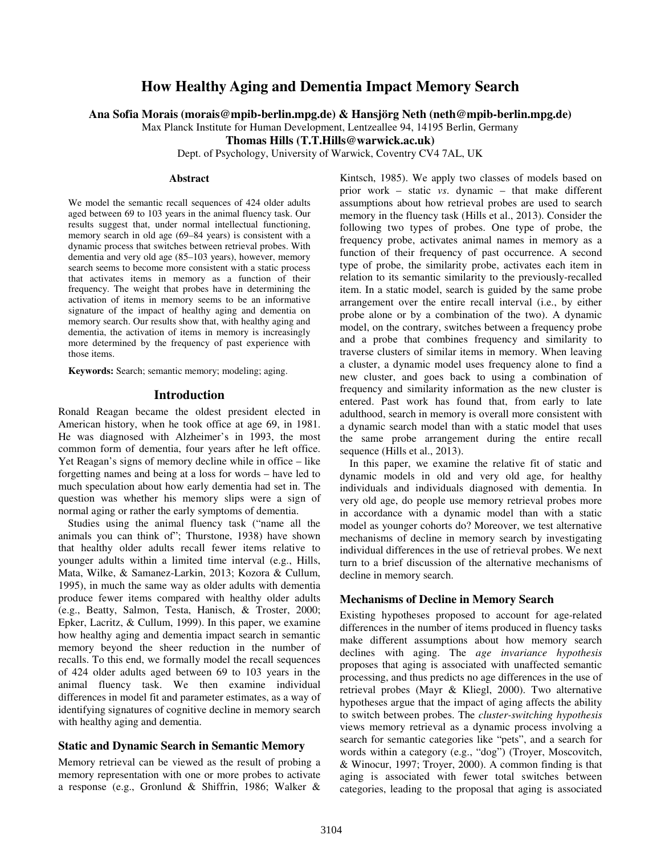# **How Healthy Aging and Dementia Impact Memory Search**

**Ana Sofia Morais (morais@mpib-berlin.mpg.de) & Hansjörg Neth (neth@mpib-berlin.mpg.de)** 

Max Planck Institute for Human Development, Lentzeallee 94, 14195 Berlin, Germany

**Thomas Hills (T.T.Hills@warwick.ac.uk)** 

Dept. of Psychology, University of Warwick, Coventry CV4 7AL, UK

#### **Abstract**

We model the semantic recall sequences of 424 older adults aged between 69 to 103 years in the animal fluency task. Our results suggest that, under normal intellectual functioning, memory search in old age (69–84 years) is consistent with a dynamic process that switches between retrieval probes. With dementia and very old age (85–103 years), however, memory search seems to become more consistent with a static process that activates items in memory as a function of their frequency. The weight that probes have in determining the activation of items in memory seems to be an informative signature of the impact of healthy aging and dementia on memory search. Our results show that, with healthy aging and dementia, the activation of items in memory is increasingly more determined by the frequency of past experience with those items.

**Keywords:** Search; semantic memory; modeling; aging.

#### **Introduction**

Ronald Reagan became the oldest president elected in American history, when he took office at age 69, in 1981. He was diagnosed with Alzheimer's in 1993, the most common form of dementia, four years after he left office. Yet Reagan's signs of memory decline while in office – like forgetting names and being at a loss for words – have led to much speculation about how early dementia had set in. The question was whether his memory slips were a sign of normal aging or rather the early symptoms of dementia.

Studies using the animal fluency task ("name all the animals you can think of"; Thurstone, 1938) have shown that healthy older adults recall fewer items relative to younger adults within a limited time interval (e.g., Hills, Mata, Wilke, & Samanez-Larkin, 2013; Kozora & Cullum, 1995), in much the same way as older adults with dementia produce fewer items compared with healthy older adults (e.g., Beatty, Salmon, Testa, Hanisch, & Troster, 2000; Epker, Lacritz, & Cullum, 1999). In this paper, we examine how healthy aging and dementia impact search in semantic memory beyond the sheer reduction in the number of recalls. To this end, we formally model the recall sequences of 424 older adults aged between 69 to 103 years in the animal fluency task. We then examine individual differences in model fit and parameter estimates, as a way of identifying signatures of cognitive decline in memory search with healthy aging and dementia.

#### **Static and Dynamic Search in Semantic Memory**

Memory retrieval can be viewed as the result of probing a memory representation with one or more probes to activate a response (e.g., Gronlund & Shiffrin, 1986; Walker &

Kintsch, 1985). We apply two classes of models based on prior work – static *vs*. dynamic – that make different assumptions about how retrieval probes are used to search memory in the fluency task (Hills et al., 2013). Consider the following two types of probes. One type of probe, the frequency probe, activates animal names in memory as a function of their frequency of past occurrence. A second type of probe, the similarity probe, activates each item in relation to its semantic similarity to the previously-recalled item. In a static model, search is guided by the same probe arrangement over the entire recall interval (i.e., by either probe alone or by a combination of the two). A dynamic model, on the contrary, switches between a frequency probe and a probe that combines frequency and similarity to traverse clusters of similar items in memory. When leaving a cluster, a dynamic model uses frequency alone to find a new cluster, and goes back to using a combination of frequency and similarity information as the new cluster is entered. Past work has found that, from early to late adulthood, search in memory is overall more consistent with a dynamic search model than with a static model that uses the same probe arrangement during the entire recall sequence (Hills et al., 2013).

In this paper, we examine the relative fit of static and dynamic models in old and very old age, for healthy individuals and individuals diagnosed with dementia. In very old age, do people use memory retrieval probes more in accordance with a dynamic model than with a static model as younger cohorts do? Moreover, we test alternative mechanisms of decline in memory search by investigating individual differences in the use of retrieval probes. We next turn to a brief discussion of the alternative mechanisms of decline in memory search.

### **Mechanisms of Decline in Memory Search**

Existing hypotheses proposed to account for age-related differences in the number of items produced in fluency tasks make different assumptions about how memory search declines with aging. The *age invariance hypothesis* proposes that aging is associated with unaffected semantic processing, and thus predicts no age differences in the use of retrieval probes (Mayr & Kliegl, 2000). Two alternative hypotheses argue that the impact of aging affects the ability to switch between probes. The *cluster-switching hypothesis* views memory retrieval as a dynamic process involving a search for semantic categories like "pets", and a search for words within a category (e.g., "dog") (Troyer, Moscovitch, & Winocur, 1997; Troyer, 2000). A common finding is that aging is associated with fewer total switches between categories, leading to the proposal that aging is associated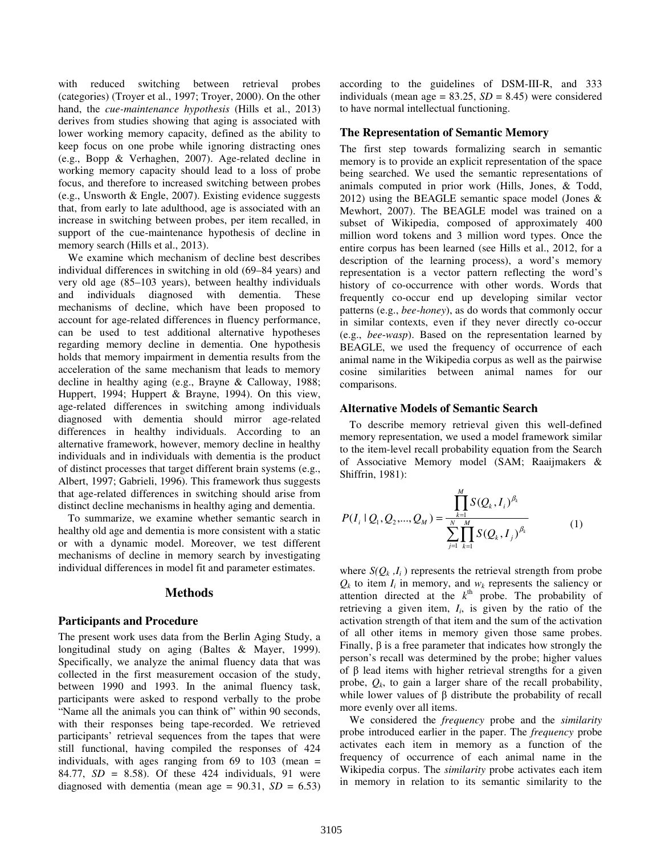with reduced switching between retrieval probes (categories) (Troyer et al., 1997; Troyer, 2000). On the other hand, the *cue-maintenance hypothesis* (Hills et al., 2013) derives from studies showing that aging is associated with lower working memory capacity, defined as the ability to keep focus on one probe while ignoring distracting ones (e.g., Bopp & Verhaghen, 2007). Age-related decline in working memory capacity should lead to a loss of probe focus, and therefore to increased switching between probes (e.g., Unsworth & Engle, 2007). Existing evidence suggests that, from early to late adulthood, age is associated with an increase in switching between probes, per item recalled, in support of the cue-maintenance hypothesis of decline in memory search (Hills et al., 2013).

We examine which mechanism of decline best describes individual differences in switching in old (69–84 years) and very old age (85–103 years), between healthy individuals and individuals diagnosed with dementia. These mechanisms of decline, which have been proposed to account for age-related differences in fluency performance, can be used to test additional alternative hypotheses regarding memory decline in dementia. One hypothesis holds that memory impairment in dementia results from the acceleration of the same mechanism that leads to memory decline in healthy aging (e.g., Brayne & Calloway, 1988; Huppert, 1994; Huppert & Brayne, 1994). On this view, age-related differences in switching among individuals diagnosed with dementia should mirror age-related differences in healthy individuals. According to an alternative framework, however, memory decline in healthy individuals and in individuals with dementia is the product of distinct processes that target different brain systems (e.g., Albert, 1997; Gabrieli, 1996). This framework thus suggests that age-related differences in switching should arise from distinct decline mechanisms in healthy aging and dementia.

To summarize, we examine whether semantic search in healthy old age and dementia is more consistent with a static or with a dynamic model. Moreover, we test different mechanisms of decline in memory search by investigating individual differences in model fit and parameter estimates.

#### **Methods**

#### **Participants and Procedure**

The present work uses data from the Berlin Aging Study, a longitudinal study on aging (Baltes & Mayer, 1999). Specifically, we analyze the animal fluency data that was collected in the first measurement occasion of the study, between 1990 and 1993. In the animal fluency task, participants were asked to respond verbally to the probe "Name all the animals you can think of" within 90 seconds, with their responses being tape-recorded. We retrieved participants' retrieval sequences from the tapes that were still functional, having compiled the responses of 424 individuals, with ages ranging from  $69$  to  $103$  (mean = 84.77, *SD* = 8.58). Of these 424 individuals, 91 were diagnosed with dementia (mean age =  $90.31$ ,  $SD = 6.53$ ) according to the guidelines of DSM-III-R, and 333 individuals (mean age  $= 83.25$ ,  $SD = 8.45$ ) were considered to have normal intellectual functioning.

#### **The Representation of Semantic Memory**

The first step towards formalizing search in semantic memory is to provide an explicit representation of the space being searched. We used the semantic representations of animals computed in prior work (Hills, Jones, & Todd, 2012) using the BEAGLE semantic space model (Jones & Mewhort, 2007). The BEAGLE model was trained on a subset of Wikipedia, composed of approximately 400 million word tokens and 3 million word types. Once the entire corpus has been learned (see Hills et al., 2012, for a description of the learning process), a word's memory representation is a vector pattern reflecting the word's history of co-occurrence with other words. Words that frequently co-occur end up developing similar vector patterns (e.g., *bee*-*honey*), as do words that commonly occur in similar contexts, even if they never directly co-occur (e.g., *bee*-*wasp*). Based on the representation learned by BEAGLE, we used the frequency of occurrence of each animal name in the Wikipedia corpus as well as the pairwise cosine similarities between animal names for our comparisons.

#### **Alternative Models of Semantic Search**

To describe memory retrieval given this well-defined memory representation, we used a model framework similar to the item-level recall probability equation from the Search of Associative Memory model (SAM; Raaijmakers & Shiffrin, 1981):

$$
P(I_i \mid Q_1, Q_2, ..., Q_M) = \frac{\prod_{k=1}^{M} S(Q_k, I_i)^{\beta_k}}{\sum_{j=1}^{N} \prod_{k=1}^{M} S(Q_k, I_j)^{\beta_k}}
$$
(1)

where  $S(Q_k, I_i)$  represents the retrieval strength from probe  $Q_k$  to item  $I_i$  in memory, and  $w_k$  represents the saliency or attention directed at the  $k^{\text{th}}$  probe. The probability of retrieving a given item,  $I_i$ , is given by the ratio of the activation strength of that item and the sum of the activation of all other items in memory given those same probes. Finally, β is a free parameter that indicates how strongly the person's recall was determined by the probe; higher values of β lead items with higher retrieval strengths for a given probe,  $Q_k$ , to gain a larger share of the recall probability, while lower values of  $\beta$  distribute the probability of recall more evenly over all items.

We considered the *frequency* probe and the *similarity*  probe introduced earlier in the paper. The *frequency* probe activates each item in memory as a function of the frequency of occurrence of each animal name in the Wikipedia corpus. The *similarity* probe activates each item in memory in relation to its semantic similarity to the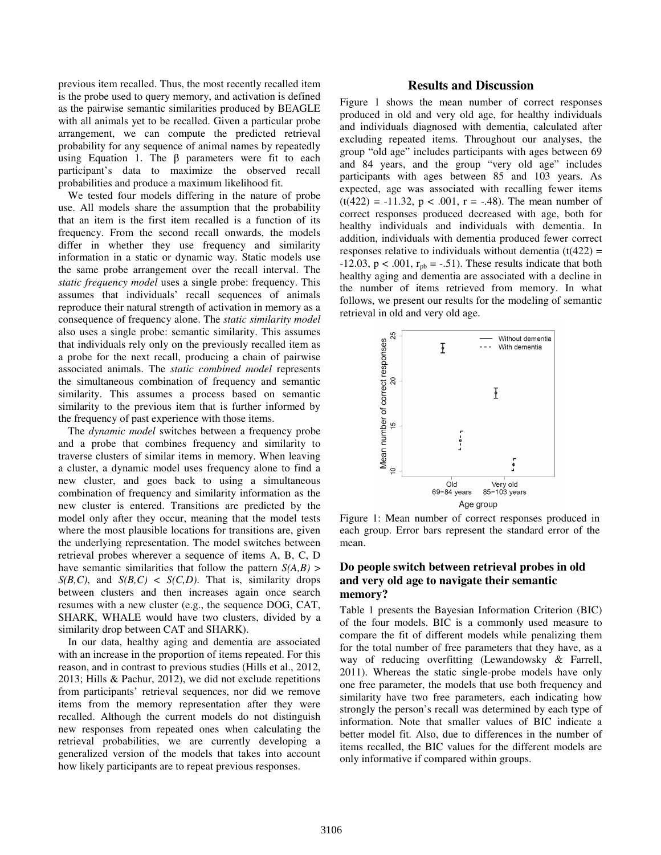previous item recalled. Thus, the most recently recalled item is the probe used to query memory, and activation is defined as the pairwise semantic similarities produced by BEAGLE with all animals yet to be recalled. Given a particular probe arrangement, we can compute the predicted retrieval probability for any sequence of animal names by repeatedly using Equation 1. The  $β$  parameters were fit to each participant's data to maximize the observed recall probabilities and produce a maximum likelihood fit.

We tested four models differing in the nature of probe use. All models share the assumption that the probability that an item is the first item recalled is a function of its frequency. From the second recall onwards, the models differ in whether they use frequency and similarity information in a static or dynamic way. Static models use the same probe arrangement over the recall interval. The *static frequency model* uses a single probe: frequency. This assumes that individuals' recall sequences of animals reproduce their natural strength of activation in memory as a consequence of frequency alone. The *static similarity model* also uses a single probe: semantic similarity. This assumes that individuals rely only on the previously recalled item as a probe for the next recall, producing a chain of pairwise associated animals. The *static combined model* represents the simultaneous combination of frequency and semantic similarity. This assumes a process based on semantic similarity to the previous item that is further informed by the frequency of past experience with those items.

The *dynamic model* switches between a frequency probe and a probe that combines frequency and similarity to traverse clusters of similar items in memory. When leaving a cluster, a dynamic model uses frequency alone to find a new cluster, and goes back to using a simultaneous combination of frequency and similarity information as the new cluster is entered. Transitions are predicted by the model only after they occur, meaning that the model tests where the most plausible locations for transitions are, given the underlying representation. The model switches between retrieval probes wherever a sequence of items A, B, C, D have semantic similarities that follow the pattern *S(A,B)* >  $S(B, C)$ , and  $S(B, C) < S(C, D)$ . That is, similarity drops between clusters and then increases again once search resumes with a new cluster (e.g., the sequence DOG, CAT, SHARK, WHALE would have two clusters, divided by a similarity drop between CAT and SHARK).

In our data, healthy aging and dementia are associated with an increase in the proportion of items repeated. For this reason, and in contrast to previous studies (Hills et al., 2012, 2013; Hills & Pachur, 2012), we did not exclude repetitions from participants' retrieval sequences, nor did we remove items from the memory representation after they were recalled. Although the current models do not distinguish new responses from repeated ones when calculating the retrieval probabilities, we are currently developing a generalized version of the models that takes into account how likely participants are to repeat previous responses.

#### **Results and Discussion**

Figure 1 shows the mean number of correct responses produced in old and very old age, for healthy individuals and individuals diagnosed with dementia, calculated after excluding repeated items. Throughout our analyses, the group "old age" includes participants with ages between 69 and 84 years, and the group "very old age" includes participants with ages between 85 and 103 years. As expected, age was associated with recalling fewer items  $(t(422) = -11.32, p < .001, r = -.48)$ . The mean number of correct responses produced decreased with age, both for healthy individuals and individuals with dementia. In addition, individuals with dementia produced fewer correct responses relative to individuals without dementia  $(t(422) =$  $-12.03$ ,  $p < .001$ ,  $r_{pb} = -.51$ ). These results indicate that both healthy aging and dementia are associated with a decline in the number of items retrieved from memory. In what follows, we present our results for the modeling of semantic retrieval in old and very old age.



Figure 1: Mean number of correct responses produced in each group. Error bars represent the standard error of the mean.

## **Do people switch between retrieval probes in old and very old age to navigate their semantic memory?**

Table 1 presents the Bayesian Information Criterion (BIC) of the four models. BIC is a commonly used measure to compare the fit of different models while penalizing them for the total number of free parameters that they have, as a way of reducing overfitting (Lewandowsky & Farrell, 2011). Whereas the static single-probe models have only one free parameter, the models that use both frequency and similarity have two free parameters, each indicating how strongly the person's recall was determined by each type of information. Note that smaller values of BIC indicate a better model fit. Also, due to differences in the number of items recalled, the BIC values for the different models are only informative if compared within groups.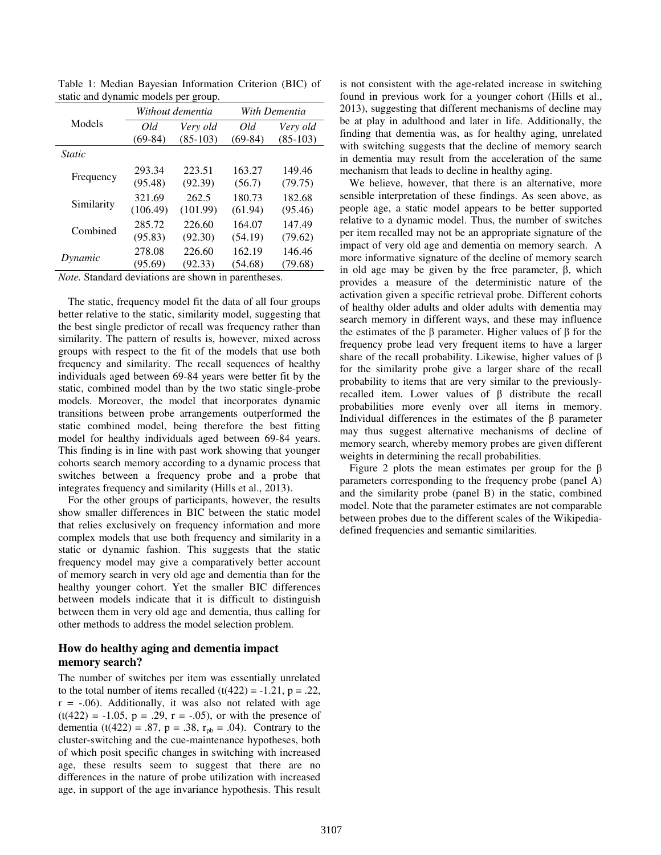| $s$ and $\alpha$ $\gamma$ hanner invacts per group. |                  |            |               |            |
|-----------------------------------------------------|------------------|------------|---------------|------------|
| Models                                              | Without dementia |            | With Dementia |            |
|                                                     | Old              | Very old   | Old           | Very old   |
|                                                     | $(69-84)$        | $(85-103)$ | $(69-84)$     | $(85-103)$ |
| <i>Static</i>                                       |                  |            |               |            |
| Frequency                                           | 293.34           | 223.51     | 163.27        | 149.46     |
|                                                     | (95.48)          | (92.39)    | (56.7)        | (79.75)    |
| Similarity                                          | 321.69           | 262.5      | 180.73        | 182.68     |
|                                                     | (106.49)         | (101.99)   | (61.94)       | (95.46)    |
| Combined                                            | 285.72           | 226.60     | 164.07        | 147.49     |
|                                                     | (95.83)          | (92.30)    | (54.19)       | (79.62)    |
| Dynamic                                             | 278.08           | 226.60     | 162.19        | 146.46     |
|                                                     | (95.69)          | (92.33)    | (54.68)       | (79.68)    |

Table 1: Median Bayesian Information Criterion (BIC) of static and dynamic models per group.

*Note.* Standard deviations are shown in parentheses.

The static, frequency model fit the data of all four groups better relative to the static, similarity model, suggesting that the best single predictor of recall was frequency rather than similarity. The pattern of results is, however, mixed across groups with respect to the fit of the models that use both frequency and similarity. The recall sequences of healthy individuals aged between 69-84 years were better fit by the static, combined model than by the two static single-probe models. Moreover, the model that incorporates dynamic transitions between probe arrangements outperformed the static combined model, being therefore the best fitting model for healthy individuals aged between 69-84 years. This finding is in line with past work showing that younger cohorts search memory according to a dynamic process that switches between a frequency probe and a probe that integrates frequency and similarity (Hills et al., 2013).

For the other groups of participants, however, the results show smaller differences in BIC between the static model that relies exclusively on frequency information and more complex models that use both frequency and similarity in a static or dynamic fashion. This suggests that the static frequency model may give a comparatively better account of memory search in very old age and dementia than for the healthy younger cohort. Yet the smaller BIC differences between models indicate that it is difficult to distinguish between them in very old age and dementia, thus calling for other methods to address the model selection problem.

#### **How do healthy aging and dementia impact memory search?**

The number of switches per item was essentially unrelated to the total number of items recalled  $(t(422) = -1.21, p = .22,$  $r = -.06$ ). Additionally, it was also not related with age  $(t(422) = -1.05, p = .29, r = -.05)$ , or with the presence of dementia (t(422) = .87, p = .38,  $r_{pb}$  = .04). Contrary to the cluster-switching and the cue-maintenance hypotheses, both of which posit specific changes in switching with increased age, these results seem to suggest that there are no differences in the nature of probe utilization with increased age, in support of the age invariance hypothesis. This result is not consistent with the age-related increase in switching found in previous work for a younger cohort (Hills et al., 2013), suggesting that different mechanisms of decline may be at play in adulthood and later in life. Additionally, the finding that dementia was, as for healthy aging, unrelated with switching suggests that the decline of memory search in dementia may result from the acceleration of the same mechanism that leads to decline in healthy aging.

We believe, however, that there is an alternative, more sensible interpretation of these findings. As seen above, as people age, a static model appears to be better supported relative to a dynamic model. Thus, the number of switches per item recalled may not be an appropriate signature of the impact of very old age and dementia on memory search. A more informative signature of the decline of memory search in old age may be given by the free parameter, β, which provides a measure of the deterministic nature of the activation given a specific retrieval probe. Different cohorts of healthy older adults and older adults with dementia may search memory in different ways, and these may influence the estimates of the β parameter. Higher values of β for the frequency probe lead very frequent items to have a larger share of the recall probability. Likewise, higher values of β for the similarity probe give a larger share of the recall probability to items that are very similar to the previouslyrecalled item. Lower values of β distribute the recall probabilities more evenly over all items in memory. Individual differences in the estimates of the β parameter may thus suggest alternative mechanisms of decline of memory search, whereby memory probes are given different weights in determining the recall probabilities.

Figure 2 plots the mean estimates per group for the  $\beta$ parameters corresponding to the frequency probe (panel A) and the similarity probe (panel B) in the static, combined model. Note that the parameter estimates are not comparable between probes due to the different scales of the Wikipediadefined frequencies and semantic similarities.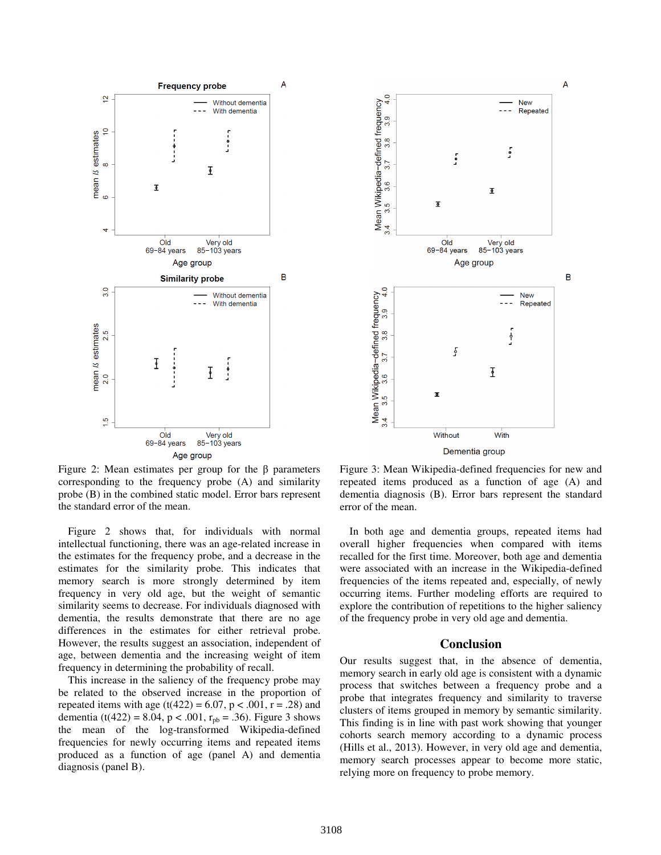

Figure 2: Mean estimates per group for the β parameters corresponding to the frequency probe (A) and similarity probe (B) in the combined static model. Error bars represent the standard error of the mean.

Figure 2 shows that, for individuals with normal intellectual functioning, there was an age-related increase in the estimates for the frequency probe, and a decrease in the estimates for the similarity probe. This indicates that memory search is more strongly determined by item frequency in very old age, but the weight of semantic similarity seems to decrease. For individuals diagnosed with dementia, the results demonstrate that there are no age differences in the estimates for either retrieval probe. However, the results suggest an association, independent of age, between dementia and the increasing weight of item frequency in determining the probability of recall.

This increase in the saliency of the frequency probe may be related to the observed increase in the proportion of repeated items with age (t(422) = 6.07, p < .001, r = .28) and dementia (t(422) = 8.04, p < .001,  $r_{\text{nb}}$  = .36). Figure 3 shows the mean of the log-transformed Wikipedia-defined frequencies for newly occurring items and repeated items produced as a function of age (panel A) and dementia diagnosis (panel B).



Figure 3: Mean Wikipedia-defined frequencies for new and repeated items produced as a function of age (A) and dementia diagnosis (B). Error bars represent the standard error of the mean.

In both age and dementia groups, repeated items had overall higher frequencies when compared with items recalled for the first time. Moreover, both age and dementia were associated with an increase in the Wikipedia-defined frequencies of the items repeated and, especially, of newly occurring items. Further modeling efforts are required to explore the contribution of repetitions to the higher saliency of the frequency probe in very old age and dementia.

#### **Conclusion**

Our results suggest that, in the absence of dementia, memory search in early old age is consistent with a dynamic process that switches between a frequency probe and a probe that integrates frequency and similarity to traverse clusters of items grouped in memory by semantic similarity. This finding is in line with past work showing that younger cohorts search memory according to a dynamic process (Hills et al., 2013). However, in very old age and dementia, memory search processes appear to become more static, relying more on frequency to probe memory.